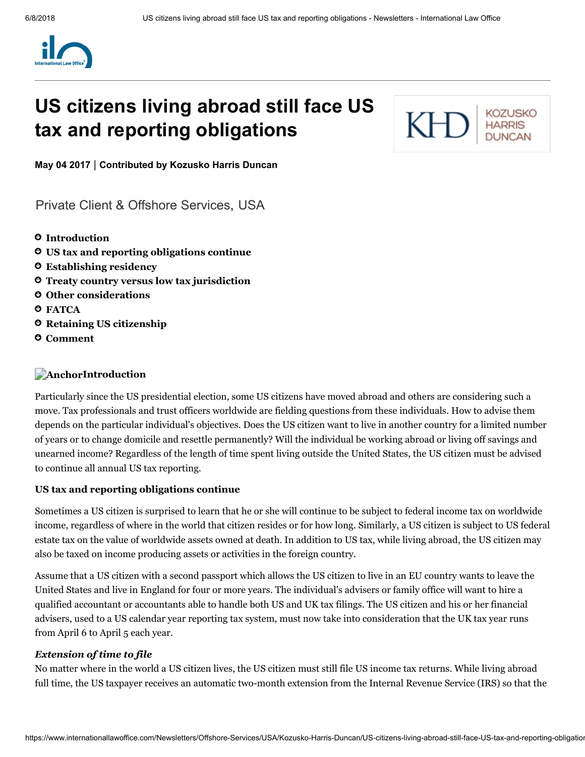

# US citizens living abroad still face US tax and reporting obligations



May 04 2017 | Contributed by [Kozusko](https://www.internationallawoffice.com/Directory/Kozusko-Harris-Duncan/New-York-NY) Harris Duncan

[Private Client & Offshore Services,](https://www.internationallawoffice.com/Search?at=Updates&cfn=Kozusko+Harris+Duncan&ws=Private+Client+%26+Offshore+Services) [USA](https://www.internationallawoffice.com/Search?at=Updates&cfn=Kozusko+Harris+Duncan&js=USA)

- **O** [Introduction](#page-0-0)
- US tax and reporting [obligations continue](#page-0-1)
- [Establishing](#page-1-0) residency
- Treaty country versus low tax [jurisdiction](#page-2-0)
- Other [considerations](#page-2-1)
- **O** [FATCA](#page-3-1)
- **O** Retaining US [citizenship](#page-3-2)
- [Comment](#page-3-0)

#### <span id="page-0-0"></span>**AnchorIntroduction**

Particularly since the US presidential election, some US citizens have moved abroad and others are considering such a move. Tax professionals and trust officers worldwide are fielding questions from these individuals. How to advise them depends on the particular individual's objectives. Does the US citizen want to live in another country for a limited number of years or to change domicile and resettle permanently? Will the individual be working abroad or living off savings and unearned income? Regardless of the length of time spent living outside the United States, the US citizen must be advised to continue all annual US tax reporting.

#### <span id="page-0-1"></span>US tax and reporting obligations continue

Sometimes a US citizen is surprised to learn that he or she will continue to be subject to federal income tax on worldwide income, regardless of where in the world that citizen resides or for how long. Similarly, a US citizen is subject to US federal estate tax on the value of worldwide assets owned at death. In addition to US tax, while living abroad, the US citizen may also be taxed on income producing assets or activities in the foreign country.

Assume that a US citizen with a second passport which allows the US citizen to live in an EU country wants to leave the United States and live in England for four or more years. The individual's advisers or family office will want to hire a qualified accountant or accountants able to handle both US and UK tax filings. The US citizen and his or her financial advisers, used to a US calendar year reporting tax system, must now take into consideration that the UK tax year runs from April 6 to April 5 each year.

#### *Extension of time to file*

No matter where in the world a US citizen lives, the US citizen must still file US income tax returns. While living abroad full time, the US taxpayer receives an automatic two-month extension from the Internal Revenue Service (IRS) so that the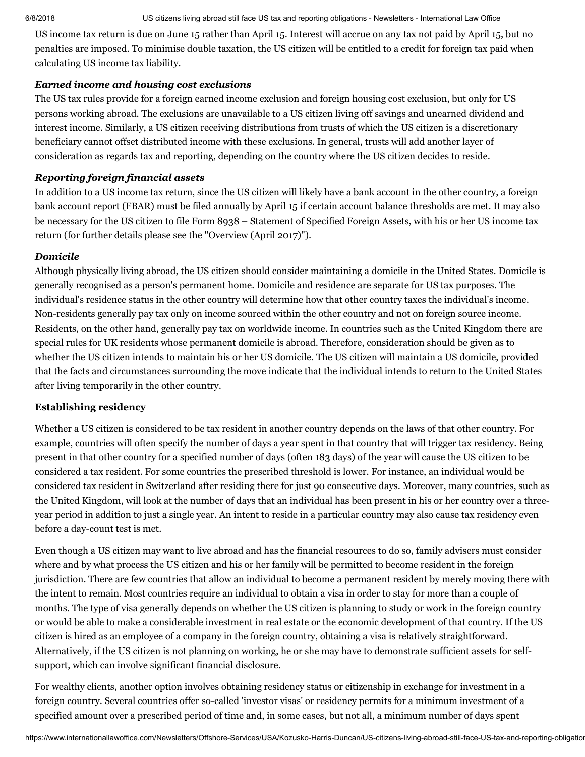6/8/2018 US citizens living abroad still face US tax and reporting obligations - Newsletters - International Law Office

US income tax return is due on June 15 rather than April 15. Interest will accrue on any tax not paid by April 15, but no penalties are imposed. To minimise double taxation, the US citizen will be entitled to a credit for foreign tax paid when calculating US income tax liability.

#### *Earned income and housing cost exclusions*

The US tax rules provide for a foreign earned income exclusion and foreign housing cost exclusion, but only for US persons working abroad. The exclusions are unavailable to a US citizen living off savings and unearned dividend and interest income. Similarly, a US citizen receiving distributions from trusts of which the US citizen is a discretionary beneficiary cannot offset distributed income with these exclusions. In general, trusts will add another layer of consideration as regards tax and reporting, depending on the country where the US citizen decides to reside.

## *Reporting foreign financial assets*

In addition to a US income tax return, since the US citizen will likely have a bank account in the other country, a foreign bank account report (FBAR) must be filed annually by April 15 if certain account balance thresholds are met. It may also be necessary for the US citizen to file Form 8938 – Statement of Specified Foreign Assets, with his or her US income tax return (for further details please see the ["Overview](http://www.internationallawoffice.com/Newsletters/Offshore-Services/USA/Kozusko-Harris-Duncan/Overview-April-2017) (April 2017)").

#### *Domicile*

Although physically living abroad, the US citizen should consider maintaining a domicile in the United States. Domicile is generally recognised as a person's permanent home. Domicile and residence are separate for US tax purposes. The individual's residence status in the other country will determine how that other country taxes the individual's income. Non-residents generally pay tax only on income sourced within the other country and not on foreign source income. Residents, on the other hand, generally pay tax on worldwide income. In countries such as the United Kingdom there are special rules for UK residents whose permanent domicile is abroad. Therefore, consideration should be given as to whether the US citizen intends to maintain his or her US domicile. The US citizen will maintain a US domicile, provided that the facts and circumstances surrounding the move indicate that the individual intends to return to the United States after living temporarily in the other country.

#### <span id="page-1-0"></span>Establishing residency

Whether a US citizen is considered to be tax resident in another country depends on the laws of that other country. For example, countries will often specify the number of days a year spent in that country that will trigger tax residency. Being present in that other country for a specified number of days (often 183 days) of the year will cause the US citizen to be considered a tax resident. For some countries the prescribed threshold is lower. For instance, an individual would be considered tax resident in Switzerland after residing there for just 90 consecutive days. Moreover, many countries, such as the United Kingdom, will look at the number of days that an individual has been present in his or her country over a threeyear period in addition to just a single year. An intent to reside in a particular country may also cause tax residency even before a day-count test is met.

Even though a US citizen may want to live abroad and has the financial resources to do so, family advisers must consider where and by what process the US citizen and his or her family will be permitted to become resident in the foreign jurisdiction. There are few countries that allow an individual to become a permanent resident by merely moving there with the intent to remain. Most countries require an individual to obtain a visa in order to stay for more than a couple of months. The type of visa generally depends on whether the US citizen is planning to study or work in the foreign country or would be able to make a considerable investment in real estate or the economic development of that country. If the US citizen is hired as an employee of a company in the foreign country, obtaining a visa is relatively straightforward. Alternatively, if the US citizen is not planning on working, he or she may have to demonstrate sufficient assets for selfsupport, which can involve significant financial disclosure.

For wealthy clients, another option involves obtaining residency status or citizenship in exchange for investment in a foreign country. Several countries offer so-called 'investor visas' or residency permits for a minimum investment of a specified amount over a prescribed period of time and, in some cases, but not all, a minimum number of days spent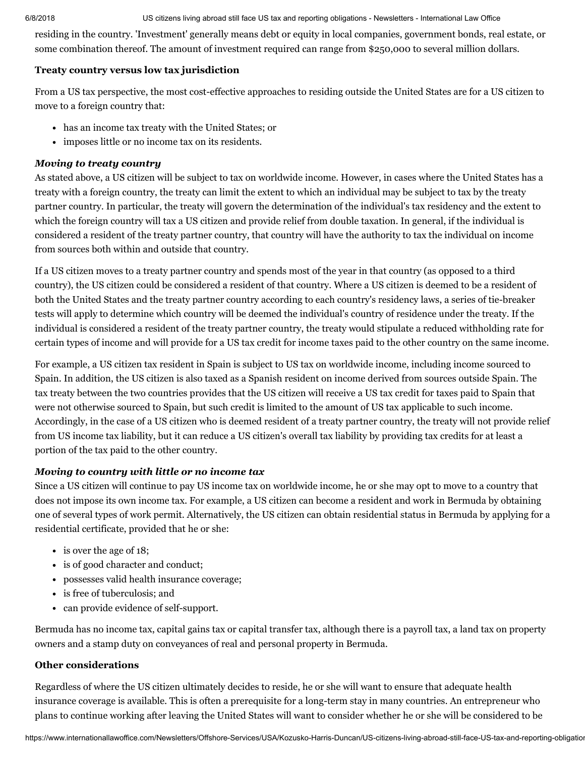6/8/2018 US citizens living abroad still face US tax and reporting obligations - Newsletters - International Law Office

residing in the country. 'Investment' generally means debt or equity in local companies, government bonds, real estate, or some combination thereof. The amount of investment required can range from \$250,000 to several million dollars.

#### <span id="page-2-0"></span>Treaty country versus low tax jurisdiction

From a US tax perspective, the most cost-effective approaches to residing outside the United States are for a US citizen to move to a foreign country that:

- has an income tax treaty with the United States; or
- imposes little or no income tax on its residents.

## *Moving to treaty country*

As stated above, a US citizen will be subject to tax on worldwide income. However, in cases where the United States has a treaty with a foreign country, the treaty can limit the extent to which an individual may be subject to tax by the treaty partner country. In particular, the treaty will govern the determination of the individual's tax residency and the extent to which the foreign country will tax a US citizen and provide relief from double taxation. In general, if the individual is considered a resident of the treaty partner country, that country will have the authority to tax the individual on income from sources both within and outside that country.

If a US citizen moves to a treaty partner country and spends most of the year in that country (as opposed to a third country), the US citizen could be considered a resident of that country. Where a US citizen is deemed to be a resident of both the United States and the treaty partner country according to each country's residency laws, a series of tie-breaker tests will apply to determine which country will be deemed the individual's country of residence under the treaty. If the individual is considered a resident of the treaty partner country, the treaty would stipulate a reduced withholding rate for certain types of income and will provide for a US tax credit for income taxes paid to the other country on the same income.

For example, a US citizen tax resident in Spain is subject to US tax on worldwide income, including income sourced to Spain. In addition, the US citizen is also taxed as a Spanish resident on income derived from sources outside Spain. The tax treaty between the two countries provides that the US citizen will receive a US tax credit for taxes paid to Spain that were not otherwise sourced to Spain, but such credit is limited to the amount of US tax applicable to such income. Accordingly, in the case of a US citizen who is deemed resident of a treaty partner country, the treaty will not provide relief from US income tax liability, but it can reduce a US citizen's overall tax liability by providing tax credits for at least a portion of the tax paid to the other country.

# *Moving to country with little or no income tax*

Since a US citizen will continue to pay US income tax on worldwide income, he or she may opt to move to a country that does not impose its own income tax. For example, a US citizen can become a resident and work in Bermuda by obtaining one of several types of work permit. Alternatively, the US citizen can obtain residential status in Bermuda by applying for a residential certificate, provided that he or she:

- is over the age of 18;
- is of good character and conduct;
- possesses valid health insurance coverage;
- is free of tuberculosis; and
- can provide evidence of self-support.

Bermuda has no income tax, capital gains tax or capital transfer tax, although there is a payroll tax, a land tax on property owners and a stamp duty on conveyances of real and personal property in Bermuda.

## <span id="page-2-1"></span>Other considerations

Regardless of where the US citizen ultimately decides to reside, he or she will want to ensure that adequate health insurance coverage is available. This is often a prerequisite for a long-term stay in many countries. An entrepreneur who plans to continue working after leaving the United States will want to consider whether he or she will be considered to be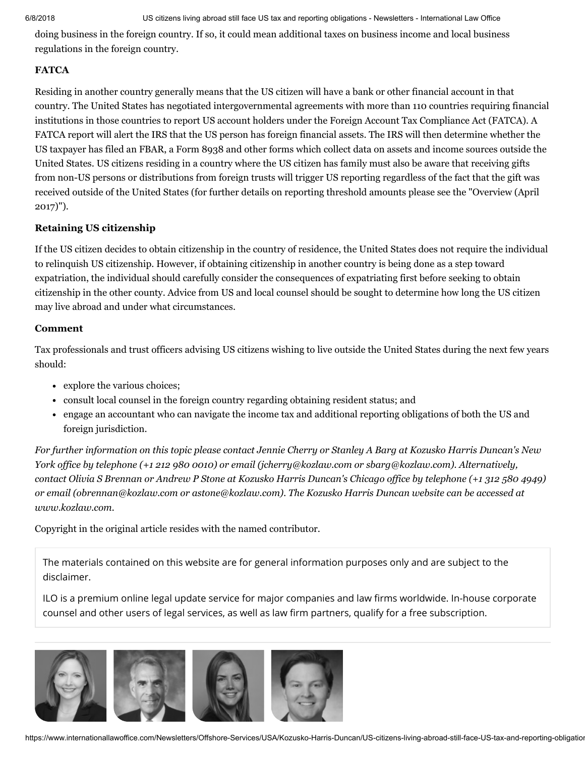doing business in the foreign country. If so, it could mean additional taxes on business income and local business regulations in the foreign country.

## <span id="page-3-1"></span>**FATCA**

Residing in another country generally means that the US citizen will have a bank or other financial account in that country. The United States has negotiated intergovernmental agreements with more than 110 countries requiring financial institutions in those countries to report US account holders under the Foreign Account Tax Compliance Act (FATCA). A FATCA report will alert the IRS that the US person has foreign financial assets. The IRS will then determine whether the US taxpayer has filed an FBAR, a Form 8938 and other forms which collect data on assets and income sources outside the United States. US citizens residing in a country where the US citizen has family must also be aware that receiving gifts from non-US persons or distributions from foreign trusts will trigger US reporting regardless of the fact that the gift was received outside of the United States (for further details on reporting threshold amounts please see the ["Overview](http://www.internationallawoffice.com/Newsletters/Offshore-Services/USA/Kozusko-Harris-Duncan/Overview-April-2017) (April 2017)").

#### <span id="page-3-2"></span>Retaining US citizenship

If the US citizen decides to obtain citizenship in the country of residence, the United States does not require the individual to relinquish US citizenship. However, if obtaining citizenship in another country is being done as a step toward expatriation, the individual should carefully consider the consequences of expatriating first before seeking to obtain citizenship in the other county. Advice from US and local counsel should be sought to determine how long the US citizen may live abroad and under what circumstances.

#### <span id="page-3-0"></span>Comment

Tax professionals and trust officers advising US citizens wishing to live outside the United States during the next few years should:

- explore the various choices;
- consult local counsel in the foreign country regarding obtaining resident status; and
- engage an accountant who can navigate the income tax and additional reporting obligations of both the US and foreign jurisdiction.

For further information on this topic please contact Jennie [Cherry](http://www.internationallawoffice.com/directory/biography.aspx?r=36050) or [Stanley](http://www.internationallawoffice.com/directory/Biography.aspx?g=baf114fa-bb75-4313-94e1-12ccfc39afcc) A Barg at Kozusko Harris Duncan's New *York office by telephone (+1 212 980 0010) or email ([jcherry@kozlaw.com](mailto:jcherry@kozlaw.com?subject=Article%20on%20ILO) or [sbarg@kozlaw.com\)](mailto:sbarg@kozlaw.com?subject=Article%20on%20ILO). Alternatively,* contact Olivia S [Brennan](http://www.internationallawoffice.com/Directory/Kozusko-Harris-Duncan/Chicago-IL/Olivia-Brennan) or [Andrew](http://www.internationallawoffice.com/Directory/Kozusko-Harris-Duncan/Chicago-IL/Andrew-P-Stone) P Stone at Kozusko Harris Duncan's Chicago office by telephone (+1 312 580 4949) *or email [\(obrennan@kozlaw.com](mailto:obrennan@kozlaw.com) or [astone@kozlaw.com](mailto:astone@kozlaw.com)). The Kozusko Harris Duncan website can be accessed at [www.kozlaw.com.](http://www.kozlaw.com/)*

Copyright in the original article resides with the named contributor.

The materials contained on this website are for general information purposes only and are subject to the [disclaimer.](https://www.internationallawoffice.com/Information/Disclaimer)

ILO is a premium online legal update service for major companies and law firms worldwide. In-house corporate counsel and other users of legal services, as well as law firm partners, qualify for a free subscription.



https://www.internationallawoffice.com/Newsletters/Offshore-Services/USA/Kozusko-Harris-Duncan/US-citizens-living-abroad-still-face-US-tax-and-reporting-obligation